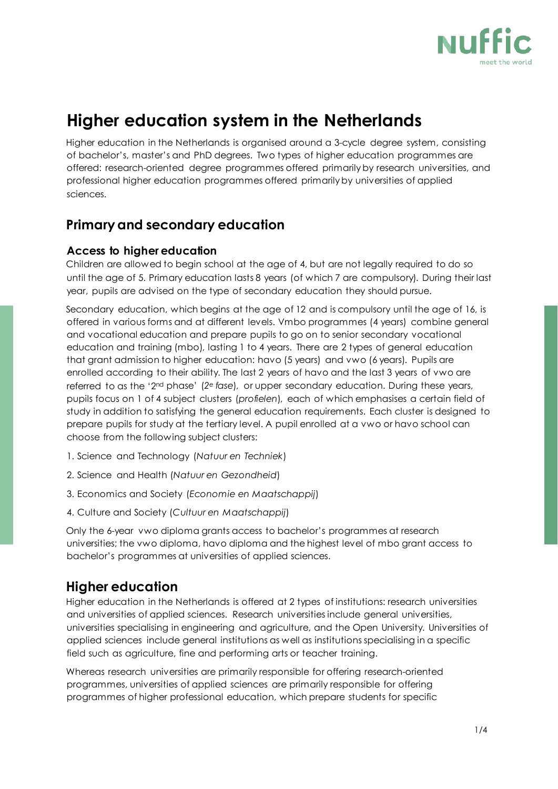

# **Higher education system in the Netherlands**

Higher education in the Netherlands is organised around a 3-cycle degree system, consisting of bachelor's, master's and PhD degrees. Two types of higher education programmes are offered: research-oriented degree programmes offered primarily by research universities, and professional higher education programmes offered primarily by universities of applied sciences.

## **Primary and secondary education**

#### **Access to higher education**

Children are allowed to begin school at the age of 4, but are not legally required to do so until the age of 5. Primary education lasts 8 years (of which 7 are compulsory). During their last year, pupils are advised on the type of secondary education they should pursue.

Secondary education, which begins at the age of 12 and is compulsory until the age of 16, is offered in various forms and at different levels. Vmbo programmes (4 years) combine general and vocational education and prepare pupils to go on to senior secondary vocational education and training (mbo), lasting 1 to 4 years. There are 2 types of general education that grant admission to higher education: havo (5 years) and vwo (6 years). Pupils are enrolled according to their ability. The last 2 years of havo and the last 3 years of vwo are referred to as the '2nd phase' (*2e fase*), or upper secondary education. During these years, pupils focus on 1 of 4 subject clusters (*profielen*), each of which emphasises a certain field of study in addition to satisfying the general education requirements. Each cluster is designed to prepare pupils for study at the tertiary level. A pupil enrolled at a vwo or havo school can choose from the following subject clusters:

- 1. Science and Technology (*Natuur en Techniek*)
- 2. Science and Health (*Natuur en Gezondheid*)
- 3. Economics and Society (*Economie en Maatschappij*)
- 4. Culture and Society (*Cultuur en Maatschappij*)

Only the 6-year vwo diploma grants access to bachelor's programmes at research universities; the vwo diploma, havo diploma and the highest level of mbo grant access to bachelor's programmes at universities of applied sciences.

# **Higher education**

Higher education in the Netherlands is offered at 2 types of institutions: research universities and universities of applied sciences. Research universities include general universities, universities specialising in engineering and agriculture, and the Open University. Universities of applied sciences include general institutions as well as institutions specialising in a specific field such as agriculture, fine and performing arts or teacher training.

Whereas research universities are primarily responsible for offering research-oriented programmes, universities of applied sciences are primarily responsible for offering programmes of higher professional education, which prepare students for specific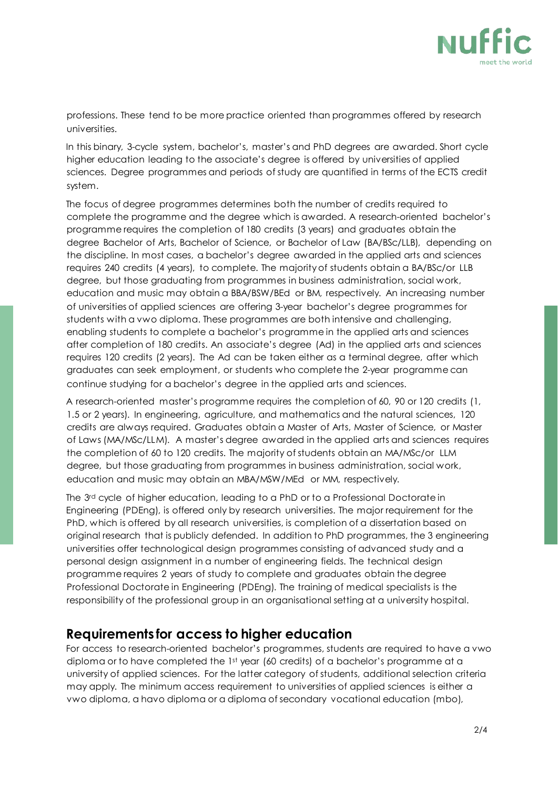

professions. These tend to be more practice oriented than programmes offered by research universities.

In this binary, 3-cycle system, bachelor's, master's and PhD degrees are awarded. Short cycle higher education leading to the associate's degree is offered by universities of applied sciences. Degree programmes and periods of study are quantified in terms of the ECTS credit system.

The focus of degree programmes determines both the number of credits required to complete the programme and the degree which is awarded. A research-oriented bachelor's programme requires the completion of 180 credits (3 years) and graduates obtain the degree Bachelor of Arts, Bachelor of Science, or Bachelor of Law (BA/BSc/LLB), depending on the discipline. In most cases, a bachelor's degree awarded in the applied arts and sciences requires 240 credits (4 years), to complete. The majority of students obtain a BA/BSc/or LLB degree, but those graduating from programmes in business administration, social work, education and music may obtain a BBA/BSW/BEd or BM, respectively. An increasing number of universities of applied sciences are offering 3-year bachelor's degree programmes for students with a vwo diploma. These programmes are both intensive and challenging, enabling students to complete a bachelor's programme in the applied arts and sciences after completion of 180 credits. An associate's degree (Ad) in the applied arts and sciences requires 120 credits (2 years). The Ad can be taken either as a terminal degree, after which graduates can seek employment, or students who complete the 2-year programme can continue studying for a bachelor's degree in the applied arts and sciences.

A research-oriented master's programme requires the completion of 60, 90 or 120 credits (1, 1.5 or 2 years). In engineering, agriculture, and mathematics and the natural sciences, 120 credits are always required. Graduates obtain a Master of Arts, Master of Science, or Master of Laws (MA/MSc/LLM). A master's degree awarded in the applied arts and sciences requires the completion of 60 to 120 credits. The majority of students obtain an MA/MSc/or LLM degree, but those graduating from programmes in business administration, social work, education and music may obtain an MBA/MSW/MEd or MM, respectively.

The 3<sup>rd</sup> cycle of higher education, leading to a PhD or to a Professional Doctorate in Engineering (PDEng), is offered only by research universities. The major requirement for the PhD, which is offered by all research universities, is completion of a dissertation based on original research that is publicly defended. In addition to PhD programmes, the 3 engineering universities offer technological design programmes consisting of advanced study and a personal design assignment in a number of engineering fields. The technical design programme requires 2 years of study to complete and graduates obtain the degree Professional Doctorate in Engineering (PDEng). The training of medical specialists is the responsibility of the professional group in an organisational setting at a university hospital.

#### **Requirements for access to higher education**

For access to research-oriented bachelor's programmes, students are required to have a vwo diploma or to have completed the 1st year (60 credits) of a bachelor's programme at a university of applied sciences. For the latter category of students, additional selection criteria may apply. The minimum access requirement to universities of applied sciences is either a vwo diploma, a havo diploma or a diploma of secondary vocational education (mbo),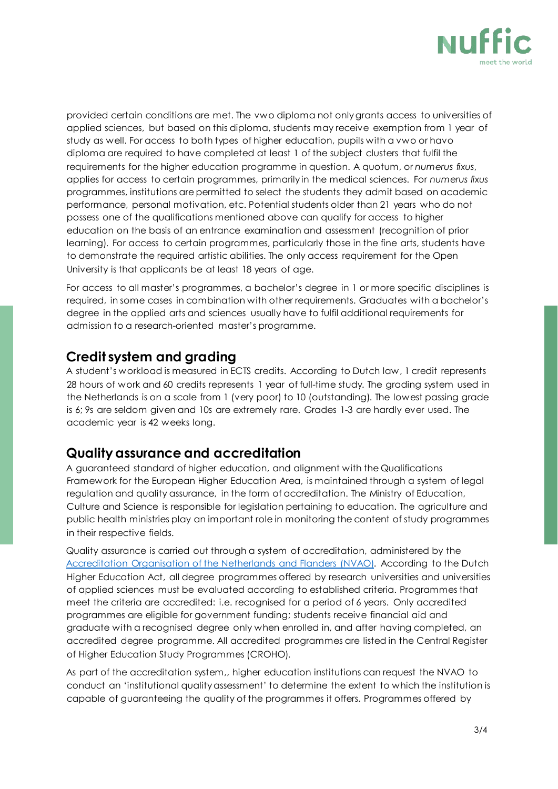

provided certain conditions are met. The vwo diploma not only grants access to universities of applied sciences, but based on this diploma, students may receive exemption from 1 year of study as well. For access to both types of higher education, pupils with a vwo or havo diploma are required to have completed at least 1 of the subject clusters that fulfil the requirements for the higher education programme in question. A quotum, or *numerus fixus*, applies for access to certain programmes, primarily in the medical sciences. For *numerus fixus* programmes, institutions are permitted to select the students they admit based on academic performance, personal motivation, etc. Potential students older than 21 years who do not possess one of the qualifications mentioned above can qualify for access to higher education on the basis of an entrance examination and assessment (recognition of prior learning). For access to certain programmes, particularly those in the fine arts, students have to demonstrate the required artistic abilities. The only access requirement for the Open University is that applicants be at least 18 years of age.

For access to all master's programmes, a bachelor's degree in 1 or more specific disciplines is required, in some cases in combination with other requirements. Graduates with a bachelor's degree in the applied arts and sciences usually have to fulfil additional requirements for admission to a research-oriented master's programme.

### **Credit system and grading**

A student's workload is measured in ECTS credits. According to Dutch law, 1 credit represents 28 hours of work and 60 credits represents 1 year of full-time study. The grading system used in the Netherlands is on a scale from 1 (very poor) to 10 (outstanding). The lowest passing grade is 6; 9s are seldom given and 10s are extremely rare. Grades 1-3 are hardly ever used. The academic year is 42 weeks long.

## **Quality assurance and accreditation**

A guaranteed standard of higher education, and alignment with the Qualifications Framework for the European Higher Education Area, is maintained through a system of legal regulation and quality assurance, in the form of accreditation. The Ministry of Education, Culture and Science is responsible for legislation pertaining to education. The agriculture and public health ministries play an important role in monitoring the content of study programmes in their respective fields.

Quality assurance is carried out through a system of accreditation, administered by the [Accreditation Organisation of the Netherlands and Flanders \(NVAO\).](https://www.nvao.com/) According to the Dutch Higher Education Act, all degree programmes offered by research universities and universities of applied sciences must be evaluated according to established criteria. Programmes that meet the criteria are accredited: i.e. recognised for a period of 6 years. Only accredited programmes are eligible for government funding; students receive financial aid and graduate with a recognised degree only when enrolled in, and after having completed, an accredited degree programme. All accredited programmes are listed in the Central Register of Higher Education Study Programmes (CROHO).

As part of the accreditation system,, higher education institutions can request the NVAO to conduct an 'institutional quality assessment' to determine the extent to which the institution is capable of guaranteeing the quality of the programmes it offers. Programmes offered by